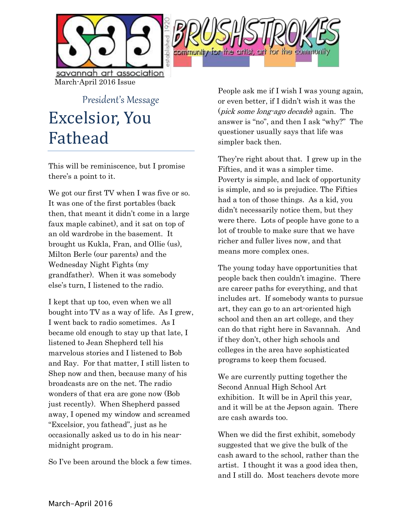



President's Message Excelsior, You Fathead

This will be reminiscence, but I promise there's a point to it.

We got our first TV when I was five or so. It was one of the first portables (back then, that meant it didn't come in a large faux maple cabinet), and it sat on top of an old wardrobe in the basement. It brought us Kukla, Fran, and Ollie (us), Milton Berle (our parents) and the Wednesday Night Fights (my grandfather). When it was somebody else's turn, I listened to the radio.

I kept that up too, even when we all bought into TV as a way of life. As I grew, I went back to radio sometimes. As I became old enough to stay up that late, I listened to Jean Shepherd tell his marvelous stories and I listened to Bob and Ray. For that matter, I still listen to Shep now and then, because many of his broadcasts are on the net. The radio wonders of that era are gone now (Bob just recently). When Shepherd passed away, I opened my window and screamed "Excelsior, you fathead", just as he occasionally asked us to do in his nearmidnight program.

So I've been around the block a few times.

People ask me if I wish I was young again, or even better, if I didn't wish it was the (pick some long-ago decade) again. The answer is "no", and then I ask "why?" The questioner usually says that life was simpler back then.

They're right about that. I grew up in the Fifties, and it was a simpler time. Poverty is simple, and lack of opportunity is simple, and so is prejudice. The Fifties had a ton of those things. As a kid, you didn't necessarily notice them, but they were there. Lots of people have gone to a lot of trouble to make sure that we have richer and fuller lives now, and that means more complex ones.

The young today have opportunities that people back then couldn't imagine. There are career paths for everything, and that includes art. If somebody wants to pursue art, they can go to an art-oriented high school and then an art college, and they can do that right here in Savannah. And if they don't, other high schools and colleges in the area have sophisticated programs to keep them focused.

We are currently putting together the Second Annual High School Art exhibition. It will be in April this year, and it will be at the Jepson again. There are cash awards too.

When we did the first exhibit, somebody suggested that we give the bulk of the cash award to the school, rather than the artist. I thought it was a good idea then, and I still do. Most teachers devote more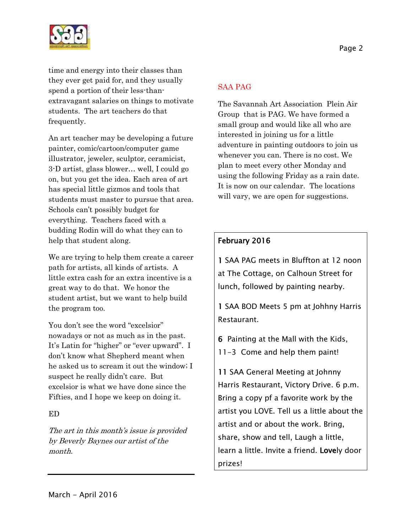

time and energy into their classes than they ever get paid for, and they usually spend a portion of their less-thanextravagant salaries on things to motivate students. The art teachers do that frequently.

An art teacher may be developing a future painter, comic/cartoon/computer game illustrator, jeweler, sculptor, ceramicist, 3-D artist, glass blower… well, I could go on, but you get the idea. Each area of art has special little gizmos and tools that students must master to pursue that area. Schools can't possibly budget for everything. Teachers faced with a budding Rodin will do what they can to help that student along.

We are trying to help them create a career path for artists, all kinds of artists. A little extra cash for an extra incentive is a great way to do that. We honor the student artist, but we want to help build the program too.

You don't see the word "excelsior" nowadays or not as much as in the past. It's Latin for "higher" or "ever upward". I don't know what Shepherd meant when he asked us to scream it out the window; I suspect he really didn't care. But excelsior is what we have done since the Fifties, and I hope we keep on doing it.

### ED

The art in this month's issue is provided by Beverly Baynes our artist of the month.

### SAA PAG

The Savannah Art Association Plein Air Group that is PAG. We have formed a small group and would like all who are interested in joining us for a little adventure in painting outdoors to join us whenever you can. There is no cost. We plan to meet every other Monday and using the following Friday as a rain date. It is now on our calendar. The locations will vary, we are open for suggestions.

## February 2016

1 SAA PAG meets in Bluffton at 12 noon at The Cottage, on Calhoun Street for lunch, followed by painting nearby.

1 SAA BOD Meets 5 pm at Johhny Harris Restaurant.

6 Painting at the Mall with the Kids,

11-3 Come and help them paint!

11 SAA General Meeting at Johnny Harris Restaurant, Victory Drive. 6 p.m. Bring a copy pf a favorite work by the artist you LOVE. Tell us a little about the artist and or about the work. Bring, share, show and tell, Laugh a little, learn a little. Invite a friend. Lovely door prizes!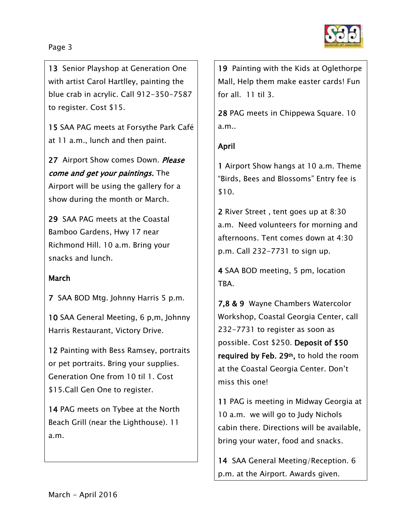### Page 3

13 Senior Playshop at Generation One with artist Carol Hartlley, painting the blue crab in acrylic. Call 912-350-7587 to register. Cost \$15.

15 SAA PAG meets at Forsythe Park Café at 11 a.m., lunch and then paint.

27 Airport Show comes Down. Please come and get your paintings. The Airport will be using the gallery for a show during the month or March.

29 SAA PAG meets at the Coastal Bamboo Gardens, Hwy 17 near Richmond Hill. 10 a.m. Bring your snacks and lunch.

### March

7 SAA BOD Mtg. Johnny Harris 5 p.m.

10 SAA General Meeting, 6 p,m, Johnny Harris Restaurant, Victory Drive.

12 Painting with Bess Ramsey, portraits or pet portraits. Bring your supplies. Generation One from 10 til 1. Cost \$15.Call Gen One to register.

14 PAG meets on Tybee at the North Beach Grill (near the Lighthouse). 11 a.m.

19 Painting with the Kids at Oglethorpe Mall, Help them make easter cards! Fun for all. 11 til 3.

28 PAG meets in Chippewa Square. 10 a.m..

# April

1 Airport Show hangs at 10 a.m. Theme "Birds, Bees and Blossoms" Entry fee is \$10.

2 River Street , tent goes up at 8:30 a.m. Need volunteers for morning and afternoons. Tent comes down at 4:30 p.m. Call 232-7731 to sign up.

4 SAA BOD meeting, 5 pm, location TBA.

7,8 & 9 Wayne Chambers Watercolor Workshop, Coastal Georgia Center, call 232-7731 to register as soon as possible. Cost \$250. Deposit of \$50 required by Feb. 29th, to hold the room at the Coastal Georgia Center. Don't miss this one!

11 PAG is meeting in Midway Georgia at 10 a.m. we will go to Judy Nichols cabin there. Directions will be available, bring your water, food and snacks.

14 SAA General Meeting/Reception. 6 p.m. at the Airport. Awards given.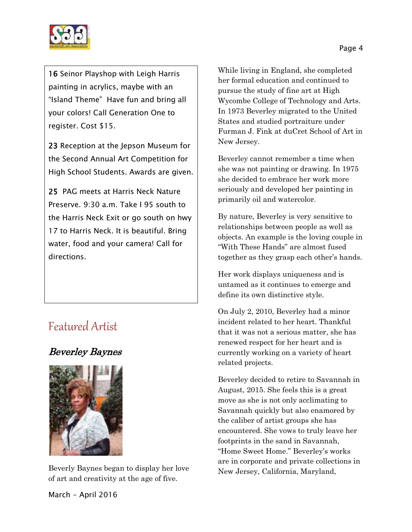

16 Seinor Playshop with Leigh Harris painting in acrylics, maybe with an "Island Theme" Have fun and bring all your colors! Call Generation One to register. Cost \$15.

23 Reception at the Jepson Museum for the Second Annual Art Competition for High School Students. Awards are given.

25 PAG meets at Harris Neck Nature Preserve. 9:30 a.m. Take I 95 south to the Harris Neck Exit or go south on hwy 17 to Harris Neck. It is beautiful. Bring water, food and your camera! Call for directions.

# Featured Artist

# Beverley Baynes



Beverly Baynes began to display her love of art and creativity at the age of five.

While living in England, she completed her formal education and continued to pursue the study of fine art at High Wycombe College of Technology and Arts. In 1973 Beverley migrated to the United States and studied portraiture under Furman J. Fink at duCret School of Art in New Jersey.

Beverley cannot remember a time when she was not painting or drawing. In 1975 she decided to embrace her work more seriously and developed her painting in primarily oil and watercolor.

By nature, Beverley is very sensitive to relationships between people as well as objects. An example is the loving couple in "With These Hands" are almost fused together as they grasp each other's hands.

Her work displays uniqueness and is untamed as it continues to emerge and define its own distinctive style.

On July 2, 2010, Beverley had a minor incident related to her heart. Thankful that it was not a serious matter, she has renewed respect for her heart and is currently working on a variety of heart related projects.

Beverley decided to retire to Savannah in August, 2015. She feels this is a great move as she is not only acclimating to Savannah quickly but also enamored by the caliber of artist groups she has encountered. She vows to truly leave her footprints in the sand in Savannah, "Home Sweet Home." Beverley's works are in corporate and private collections in New Jersey, California, Maryland,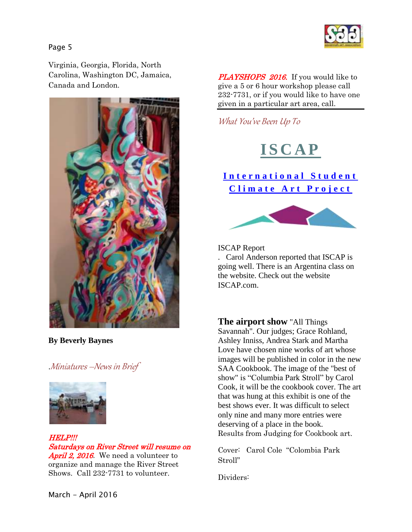

Page 5

Virginia, Georgia, Florida, North Carolina, Washington DC, Jamaica, Canada and London.



**By Beverly Baynes**

.Miniatures –News in Brief



HELP!!! Saturdays on River Street will resume on April 2, 2016. We need a volunteer to organize and manage the River Street Shows. Call 232-7731 to volunteer.

PLAYSHOPS 2016. If you would like to give a 5 or 6 hour workshop please call 232-7731, or if you would like to have one given in a particular art area, call.

What You've Been Up To



**[I n t e r n a t i o n a l S t u d e n t](http://www.iscapartproject.com/#%21home/mainPage)**  Climate Art Project



ISCAP Report . Carol Anderson reported that ISCAP is going well. There is an Argentina class on the website. Check out the website ISCAP.com.

**The airport show** "All Things Savannah". Our judges; Grace Rohland, Ashley Inniss, Andrea Stark and Martha Love have chosen nine works of art whose images will be published in color in the new SAA Cookbook. The image of the "best of show" is "Columbia Park Stroll" by Carol Cook, it will be the cookbook cover. The art that was hung at this exhibit is one of the best shows ever. It was difficult to select only nine and many more entries were deserving of a place in the book. Results from Judging for Cookbook art.

Cover: Carol Cole "Colombia Park Stroll"

Dividers:

March - April 2016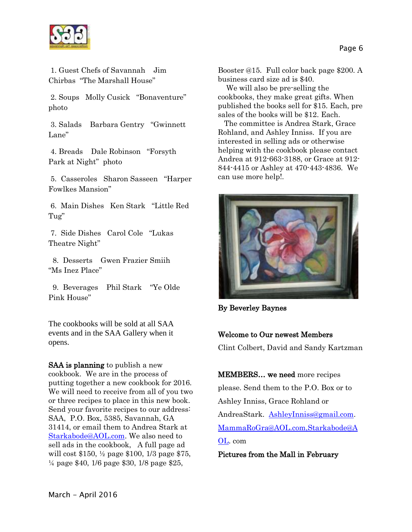

1. Guest Chefs of Savannah Jim Chirbas "The Marshall House"

2. Soups Molly Cusick "Bonaventure" photo

3. Salads Barbara Gentry "Gwinnett Lane"

4. Breads Dale Robinson "Forsyth Park at Night" photo

5. Casseroles Sharon Sasseen "Harper Fowlkes Mansion"

6. Main Dishes Ken Stark "Little Red Tug"

7. Side Dishes Carol Cole "Lukas Theatre Night"

 8. Desserts Gwen Frazier Smiih "Ms Inez Place"

 9. Beverages Phil Stark "Ye Olde Pink House"

The cookbooks will be sold at all SAA events and in the SAA Gallery when it opens.

SAA is planning to publish a new cookbook. We are in the process of putting together a new cookbook for 2016. We will need to receive from all of you two or three recipes to place in this new book. Send your favorite recipes to our address: SAA, P.O. Box, 5385, Savannah, GA 31414, or email them to Andrea Stark at [Starkabode@AOL.com.](mailto:Starkabode@AOL.com) We also need to sell ads in the cookbook, A full page ad will cost \$150, ½ page \$100, 1/3 page \$75, ¼ page \$40, 1/6 page \$30, 1/8 page \$25,

Booster @15. Full color back page \$200. A business card size ad is \$40.

 We will also be pre-selling the cookbooks, they make great gifts. When published the books sell for \$15. Each, pre sales of the books will be \$12. Each.

 The committee is Andrea Stark, Grace Rohland, and Ashley Inniss. If you are interested in selling ads or otherwise helping with the cookbook please contact Andrea at 912-663-3188, or Grace at 912- 844-4415 or Ashley at 470-443-4836. We can use more help!.



By Beverley Baynes

### Welcome to Our newest Members

Clint Colbert, David and Sandy Kartzman

MEMBERS… we need more recipes please. Send them to the P.O. Box or to Ashley Inniss, Grace Rohland or AndreaStark. [AshleyInniss@gmail.com.](mailto:AshleyInniss@gmail.com) [MammaRoGra@AOL.com,Starkabode@A](mailto:MammaRoGra@AOL.com,Starkabode@AOL) [OL.](mailto:MammaRoGra@AOL.com,Starkabode@AOL) com

Pictures from the Mall in February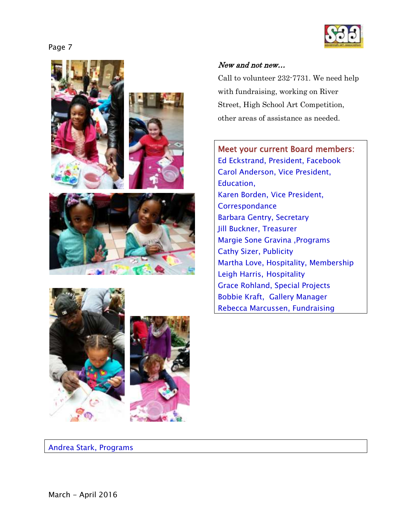









### New and not new…

Call to volunteer 232-7731. We need help with fundraising, working on River Street, High School Art Competition, other areas of assistance as needed.

Meet your current Board members: Ed Eckstrand, President, Facebook Carol Anderson, Vice President, Education, Karen Borden, Vice President, **Correspondance** Barbara Gentry, Secretary Jill Buckner, Treasurer Margie Sone Gravina ,Programs Cathy Sizer, Publicity Martha Love, Hospitality, Membership Leigh Harris, Hospitality Grace Rohland, Special Projects Bobbie Kraft, Gallery Manager Rebecca Marcussen, Fundraising

Andrea Stark, Programs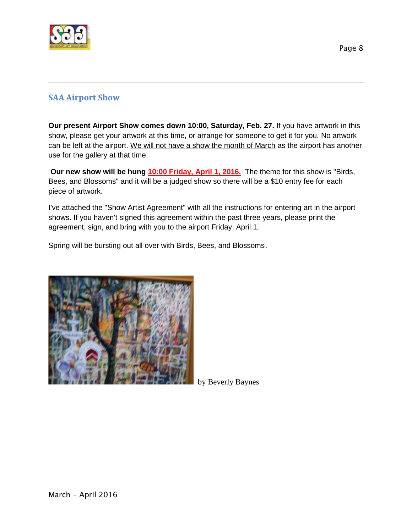

# **SAA Airport Show**

**Our present Airport Show comes down 10:00, Saturday, Feb. 27.** If you have artwork in this show, please get your artwork at this time, or arrange for someone to get it for you. No artwork can be left at the airport. We will not have a show the month of March as the airport has another use for the gallery at that time.

**Our new show will be hung 10:00 Friday, April 1, 2016.** The theme for this show is "Birds, Bees, and Blossoms" and it will be a judged show so there will be a \$10 entry fee for each piece of artwork.

I've attached the "Show Artist Agreement" with all the instructions for entering art in the airport shows. If you haven't signed this agreement within the past three years, please print the agreement, sign, and bring with you to the airport Friday, April 1.

Spring will be bursting out all over with Birds, Bees, and Blossoms.



by Beverly Baynes